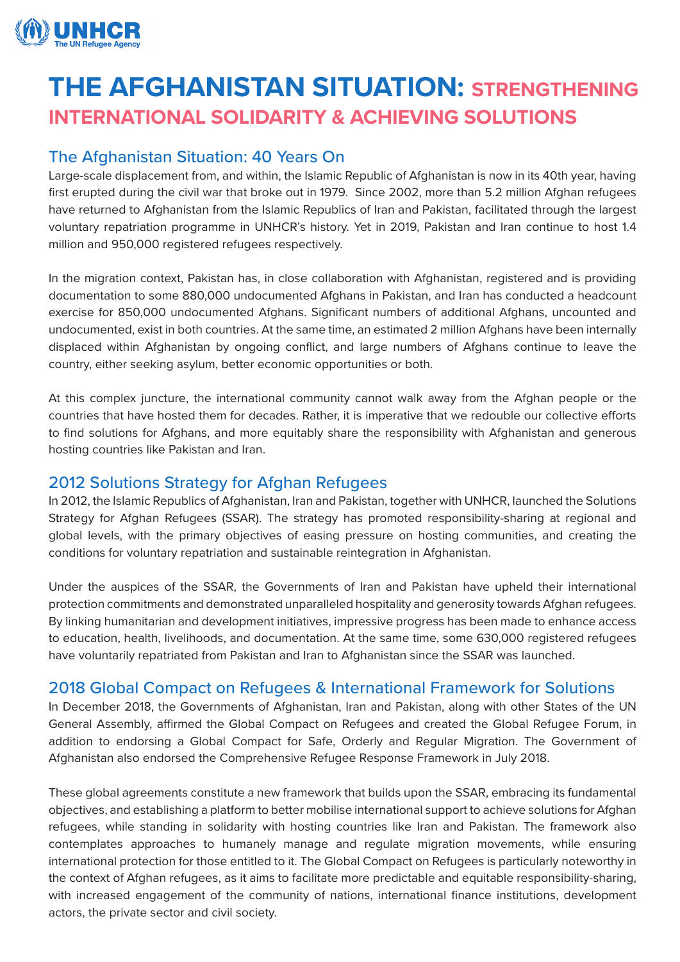

# **THE AFGHANISTAN SITUATION: STRENGTHENING INTERNATIONAL SOLIDARITY & ACHIEVING SOLUTIONS**

## The Afghanistan Situation: 40 Years On

Large-scale displacement from, and within, the Islamic Republic of Afghanistan is now in its 40th year, having first erupted during the civil war that broke out in 1979. Since 2002, more than 5.2 million Afghan refugees have returned to Afghanistan from the Islamic Republics of Iran and Pakistan, facilitated through the largest voluntary repatriation programme in UNHCR's history. Yet in 2019, Pakistan and Iran continue to host 1.4 million and 950,000 registered refugees respectively.

In the migration context, Pakistan has, in close collaboration with Afghanistan, registered and is providing documentation to some 880,000 undocumented Afghans in Pakistan, and Iran has conducted a headcount exercise for 850,000 undocumented Afghans. Significant numbers of additional Afghans, uncounted and undocumented, exist in both countries. At the same time, an estimated 2 million Afghans have been internally displaced within Afghanistan by ongoing conflict, and large numbers of Afghans continue to leave the country, either seeking asylum, better economic opportunities or both.

At this complex juncture, the international community cannot walk away from the Afghan people or the countries that have hosted them for decades. Rather, it is imperative that we redouble our collective efforts to find solutions for Afghans, and more equitably share the responsibility with Afghanistan and generous hosting countries like Pakistan and Iran.

## 2012 Solutions Strategy for Afghan Refugees

In 2012, the Islamic Republics of Afghanistan, Iran and Pakistan, together with UNHCR, launched the Solutions Strategy for Afghan Refugees (SSAR). The strategy has promoted responsibility-sharing at regional and global levels, with the primary objectives of easing pressure on hosting communities, and creating the conditions for voluntary repatriation and sustainable reintegration in Afghanistan.

Under the auspices of the SSAR, the Governments of Iran and Pakistan have upheld their international protection commitments and demonstrated unparalleled hospitality and generosity towards Afghan refugees. By linking humanitarian and development initiatives, impressive progress has been made to enhance access to education, health, livelihoods, and documentation. At the same time, some 630,000 registered refugees have voluntarily repatriated from Pakistan and Iran to Afghanistan since the SSAR was launched.

## 2018 Global Compact on Refugees & International Framework for Solutions

In December 2018, the Governments of Afghanistan, Iran and Pakistan, along with other States of the UN General Assembly, affirmed the Global Compact on Refugees and created the Global Refugee Forum, in addition to endorsing a Global Compact for Safe, Orderly and Regular Migration. The Government of Afghanistan also endorsed the Comprehensive Refugee Response Framework in July 2018.

These global agreements constitute a new framework that builds upon the SSAR, embracing its fundamental objectives, and establishing a platform to better mobilise international support to achieve solutions for Afghan refugees, while standing in solidarity with hosting countries like Iran and Pakistan. The framework also contemplates approaches to humanely manage and regulate migration movements, while ensuring international protection for those entitled to it. The Global Compact on Refugees is particularly noteworthy in the context of Afghan refugees, as it aims to facilitate more predictable and equitable responsibility-sharing, with increased engagement of the community of nations, international finance institutions, development actors, the private sector and civil society.